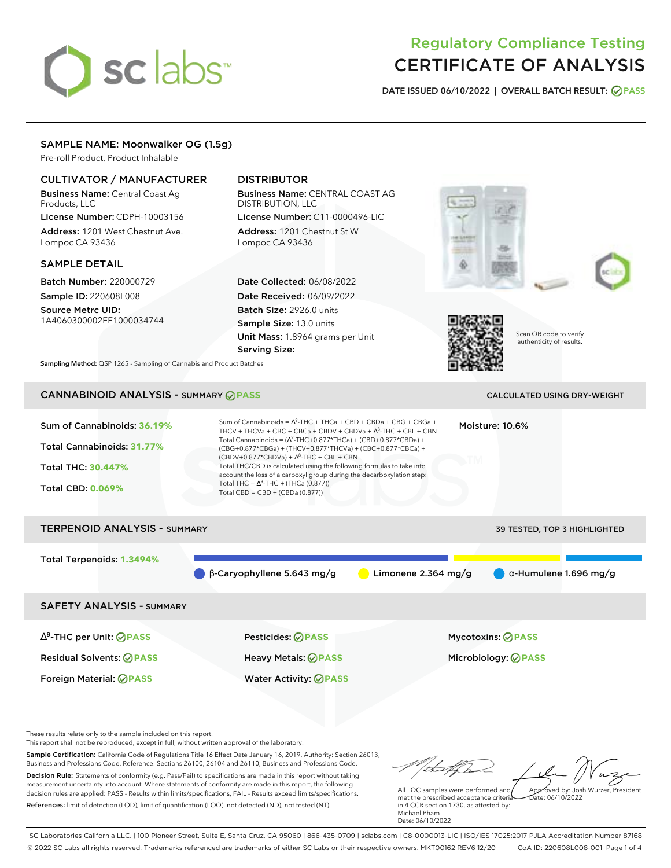# sclabs<sup>\*</sup>

# Regulatory Compliance Testing CERTIFICATE OF ANALYSIS

**DATE ISSUED 06/10/2022 | OVERALL BATCH RESULT: PASS**

# SAMPLE NAME: Moonwalker OG (1.5g)

Pre-roll Product, Product Inhalable

# CULTIVATOR / MANUFACTURER

Business Name: Central Coast Ag Products, LLC

License Number: CDPH-10003156 Address: 1201 West Chestnut Ave. Lompoc CA 93436

## SAMPLE DETAIL

Batch Number: 220000729 Sample ID: 220608L008

Source Metrc UID: 1A4060300002EE1000034744

# DISTRIBUTOR

Business Name: CENTRAL COAST AG DISTRIBUTION, LLC License Number: C11-0000496-LIC

Address: 1201 Chestnut St W Lompoc CA 93436

Date Collected: 06/08/2022 Date Received: 06/09/2022 Batch Size: 2926.0 units Sample Size: 13.0 units Unit Mass: 1.8964 grams per Unit Serving Size:





Scan QR code to verify authenticity of results.

**Sampling Method:** QSP 1265 - Sampling of Cannabis and Product Batches

# CANNABINOID ANALYSIS - SUMMARY **PASS** CALCULATED USING DRY-WEIGHT

| Sum of Cannabinoids: 36.19%<br>Total Cannabinoids: 31.77%<br><b>Total THC: 30.447%</b><br><b>Total CBD: 0.069%</b> | Sum of Cannabinoids = $\Delta^9$ -THC + THCa + CBD + CBDa + CBG + CBGa +<br>THCV + THCVa + CBC + CBCa + CBDV + CBDVa + $\Delta^8$ -THC + CBL + CBN<br>Total Cannabinoids = $(\Delta^9$ -THC+0.877*THCa) + (CBD+0.877*CBDa) +<br>(CBG+0.877*CBGa) + (THCV+0.877*THCVa) + (CBC+0.877*CBCa) +<br>$(CBDV+0.877*CBDVa) + \Delta^8$ -THC + CBL + CBN<br>Total THC/CBD is calculated using the following formulas to take into<br>account the loss of a carboxyl group during the decarboxylation step:<br>Total THC = $\Delta^9$ -THC + (THCa (0.877))<br>Total CBD = $CBD + (CBDa (0.877))$ | Moisture: 10.6%               |
|--------------------------------------------------------------------------------------------------------------------|----------------------------------------------------------------------------------------------------------------------------------------------------------------------------------------------------------------------------------------------------------------------------------------------------------------------------------------------------------------------------------------------------------------------------------------------------------------------------------------------------------------------------------------------------------------------------------------|-------------------------------|
| <b>TERPENOID ANALYSIS - SUMMARY</b>                                                                                |                                                                                                                                                                                                                                                                                                                                                                                                                                                                                                                                                                                        | 39 TESTED, TOP 3 HIGHLIGHTED  |
|                                                                                                                    |                                                                                                                                                                                                                                                                                                                                                                                                                                                                                                                                                                                        |                               |
| Total Terpenoids: 1.3494%                                                                                          |                                                                                                                                                                                                                                                                                                                                                                                                                                                                                                                                                                                        |                               |
|                                                                                                                    | $\beta$ -Caryophyllene 5.643 mg/g<br>Limonene $2.364$ mg/g                                                                                                                                                                                                                                                                                                                                                                                                                                                                                                                             | $\alpha$ -Humulene 1.696 mg/g |

SAFETY ANALYSIS - SUMMARY

∆ 9 -THC per Unit: **PASS** Pesticides: **PASS** Mycotoxins: **PASS** Residual Solvents: **PASS** Heavy Metals: **PASS** Microbiology: **PASS**

Foreign Material: **PASS** Water Activity: **PASS**

These results relate only to the sample included on this report.

This report shall not be reproduced, except in full, without written approval of the laboratory.

Sample Certification: California Code of Regulations Title 16 Effect Date January 16, 2019. Authority: Section 26013, Business and Professions Code. Reference: Sections 26100, 26104 and 26110, Business and Professions Code. Decision Rule: Statements of conformity (e.g. Pass/Fail) to specifications are made in this report without taking measurement uncertainty into account. Where statements of conformity are made in this report, the following decision rules are applied: PASS - Results within limits/specifications, FAIL - Results exceed limits/specifications.

References: limit of detection (LOD), limit of quantification (LOQ), not detected (ND), not tested (NT)

tu of h Approved by: Josh Wurzer, President

Date: 06/10/2022

All LQC samples were performed and met the prescribed acceptance criteria in 4 CCR section 1730, as attested by: Michael Pham Date: 06/10/2022

SC Laboratories California LLC. | 100 Pioneer Street, Suite E, Santa Cruz, CA 95060 | 866-435-0709 | sclabs.com | C8-0000013-LIC | ISO/IES 17025:2017 PJLA Accreditation Number 87168 © 2022 SC Labs all rights reserved. Trademarks referenced are trademarks of either SC Labs or their respective owners. MKT00162 REV6 12/20 CoA ID: 220608L008-001 Page 1 of 4